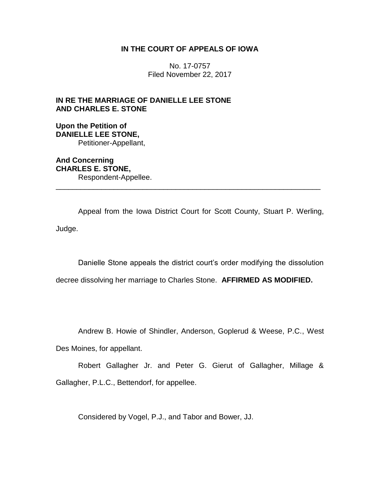# **IN THE COURT OF APPEALS OF IOWA**

No. 17-0757 Filed November 22, 2017

# **IN RE THE MARRIAGE OF DANIELLE LEE STONE AND CHARLES E. STONE**

# **Upon the Petition of DANIELLE LEE STONE,** Petitioner-Appellant,

**And Concerning CHARLES E. STONE,** Respondent-Appellee.

Appeal from the Iowa District Court for Scott County, Stuart P. Werling, Judge.

\_\_\_\_\_\_\_\_\_\_\_\_\_\_\_\_\_\_\_\_\_\_\_\_\_\_\_\_\_\_\_\_\_\_\_\_\_\_\_\_\_\_\_\_\_\_\_\_\_\_\_\_\_\_\_\_\_\_\_\_\_\_\_\_

Danielle Stone appeals the district court's order modifying the dissolution

decree dissolving her marriage to Charles Stone. **AFFIRMED AS MODIFIED.**

Andrew B. Howie of Shindler, Anderson, Goplerud & Weese, P.C., West

Des Moines, for appellant.

Robert Gallagher Jr. and Peter G. Gierut of Gallagher, Millage & Gallagher, P.L.C., Bettendorf, for appellee.

Considered by Vogel, P.J., and Tabor and Bower, JJ.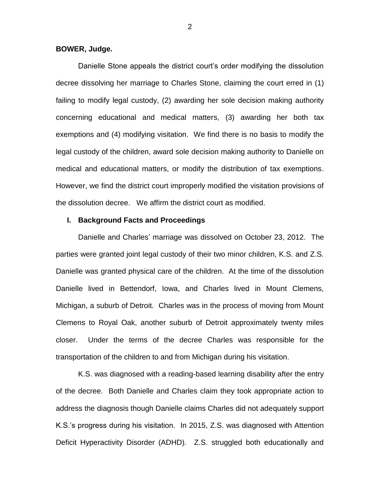### **BOWER, Judge.**

Danielle Stone appeals the district court's order modifying the dissolution decree dissolving her marriage to Charles Stone, claiming the court erred in (1) failing to modify legal custody, (2) awarding her sole decision making authority concerning educational and medical matters, (3) awarding her both tax exemptions and (4) modifying visitation. We find there is no basis to modify the legal custody of the children, award sole decision making authority to Danielle on medical and educational matters, or modify the distribution of tax exemptions. However, we find the district court improperly modified the visitation provisions of the dissolution decree. We affirm the district court as modified.

### **I. Background Facts and Proceedings**

Danielle and Charles' marriage was dissolved on October 23, 2012. The parties were granted joint legal custody of their two minor children, K.S. and Z.S. Danielle was granted physical care of the children. At the time of the dissolution Danielle lived in Bettendorf, Iowa, and Charles lived in Mount Clemens, Michigan, a suburb of Detroit. Charles was in the process of moving from Mount Clemens to Royal Oak, another suburb of Detroit approximately twenty miles closer. Under the terms of the decree Charles was responsible for the transportation of the children to and from Michigan during his visitation.

K.S. was diagnosed with a reading-based learning disability after the entry of the decree. Both Danielle and Charles claim they took appropriate action to address the diagnosis though Danielle claims Charles did not adequately support K.S.'s progress during his visitation. In 2015, Z.S. was diagnosed with Attention Deficit Hyperactivity Disorder (ADHD). Z.S. struggled both educationally and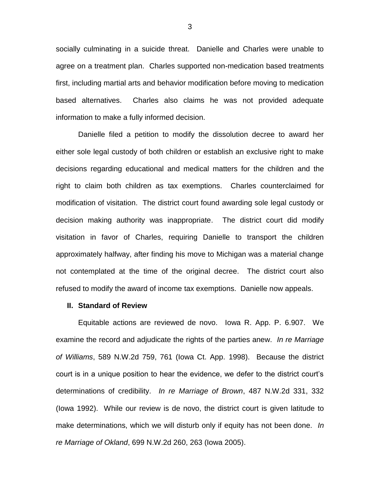socially culminating in a suicide threat. Danielle and Charles were unable to agree on a treatment plan. Charles supported non-medication based treatments first, including martial arts and behavior modification before moving to medication based alternatives. Charles also claims he was not provided adequate information to make a fully informed decision.

Danielle filed a petition to modify the dissolution decree to award her either sole legal custody of both children or establish an exclusive right to make decisions regarding educational and medical matters for the children and the right to claim both children as tax exemptions. Charles counterclaimed for modification of visitation. The district court found awarding sole legal custody or decision making authority was inappropriate. The district court did modify visitation in favor of Charles, requiring Danielle to transport the children approximately halfway, after finding his move to Michigan was a material change not contemplated at the time of the original decree. The district court also refused to modify the award of income tax exemptions. Danielle now appeals.

### **II. Standard of Review**

Equitable actions are reviewed de novo. Iowa R. App. P. 6.907. We examine the record and adjudicate the rights of the parties anew. *In re Marriage of Williams*, 589 N.W.2d 759, 761 (Iowa Ct. App. 1998). Because the district court is in a unique position to hear the evidence, we defer to the district court's determinations of credibility. *In re Marriage of Brown*, 487 N.W.2d 331, 332 (Iowa 1992). While our review is de novo, the district court is given latitude to make determinations, which we will disturb only if equity has not been done. *In re Marriage of Okland*, 699 N.W.2d 260, 263 (Iowa 2005).

3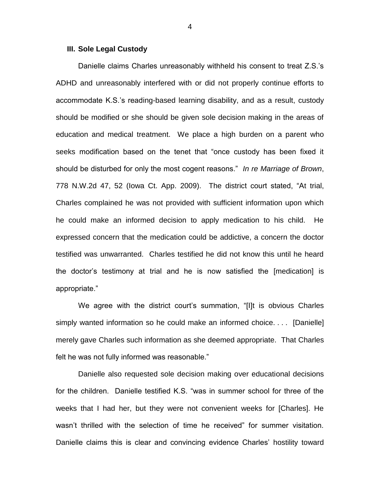### **III. Sole Legal Custody**

Danielle claims Charles unreasonably withheld his consent to treat Z.S.'s ADHD and unreasonably interfered with or did not properly continue efforts to accommodate K.S.'s reading-based learning disability, and as a result, custody should be modified or she should be given sole decision making in the areas of education and medical treatment. We place a high burden on a parent who seeks modification based on the tenet that "once custody has been fixed it should be disturbed for only the most cogent reasons." *In re Marriage of Brown*, 778 N.W.2d 47, 52 (Iowa Ct. App. 2009). The district court stated, "At trial, Charles complained he was not provided with sufficient information upon which he could make an informed decision to apply medication to his child. He expressed concern that the medication could be addictive, a concern the doctor testified was unwarranted. Charles testified he did not know this until he heard the doctor's testimony at trial and he is now satisfied the [medication] is appropriate."

We agree with the district court's summation, "[I]t is obvious Charles simply wanted information so he could make an informed choice. . . . [Danielle] merely gave Charles such information as she deemed appropriate. That Charles felt he was not fully informed was reasonable."

Danielle also requested sole decision making over educational decisions for the children. Danielle testified K.S. "was in summer school for three of the weeks that I had her, but they were not convenient weeks for [Charles]. He wasn't thrilled with the selection of time he received" for summer visitation. Danielle claims this is clear and convincing evidence Charles' hostility toward

4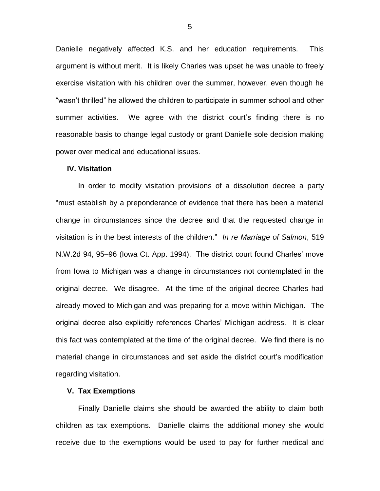Danielle negatively affected K.S. and her education requirements. This argument is without merit. It is likely Charles was upset he was unable to freely exercise visitation with his children over the summer, however, even though he "wasn't thrilled" he allowed the children to participate in summer school and other summer activities. We agree with the district court's finding there is no reasonable basis to change legal custody or grant Danielle sole decision making power over medical and educational issues.

#### **IV. Visitation**

In order to modify visitation provisions of a dissolution decree a party "must establish by a preponderance of evidence that there has been a material change in circumstances since the decree and that the requested change in visitation is in the best interests of the children." *In re Marriage of Salmon*, 519 N.W.2d 94, 95–96 (Iowa Ct. App. 1994). The district court found Charles' move from Iowa to Michigan was a change in circumstances not contemplated in the original decree. We disagree. At the time of the original decree Charles had already moved to Michigan and was preparing for a move within Michigan. The original decree also explicitly references Charles' Michigan address. It is clear this fact was contemplated at the time of the original decree. We find there is no material change in circumstances and set aside the district court's modification regarding visitation.

## **V. Tax Exemptions**

Finally Danielle claims she should be awarded the ability to claim both children as tax exemptions. Danielle claims the additional money she would receive due to the exemptions would be used to pay for further medical and

5